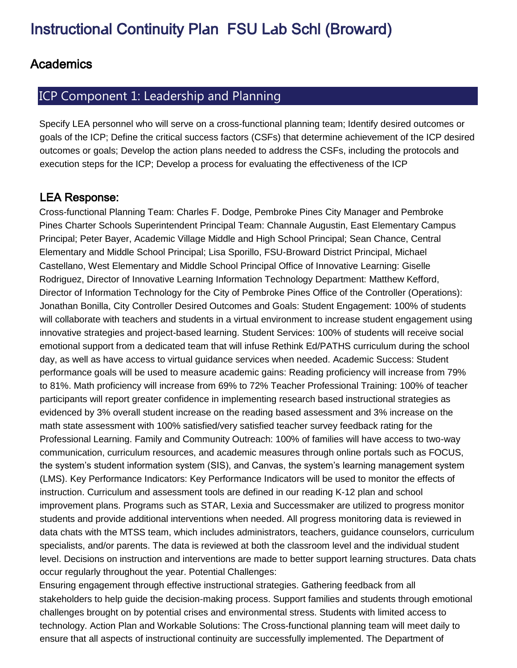### **Academics**

# ICP Component 1: Leadership and Planning

Specify LEA personnel who will serve on a cross-functional planning team; Identify desired outcomes or goals of the ICP; Define the critical success factors (CSFs) that determine achievement of the ICP desired outcomes or goals; Develop the action plans needed to address the CSFs, including the protocols and execution steps for the ICP; Develop a process for evaluating the effectiveness of the ICP

#### **LEA Response:**

Cross-functional Planning Team: Charles F. Dodge, Pembroke Pines City Manager and Pembroke Pines Charter Schools Superintendent Principal Team: Channale Augustin, East Elementary Campus Principal; Peter Bayer, Academic Village Middle and High School Principal; Sean Chance, Central Elementary and Middle School Principal; Lisa Sporillo, FSU-Broward District Principal, Michael Castellano, West Elementary and Middle School Principal Office of Innovative Learning: Giselle Rodriguez, Director of Innovative Learning Information Technology Department: Matthew Kefford, Director of Information Technology for the City of Pembroke Pines Office of the Controller (Operations): Jonathan Bonilla, City Controller Desired Outcomes and Goals: Student Engagement: 100% of students will collaborate with teachers and students in a virtual environment to increase student engagement using innovative strategies and project-based learning. Student Services: 100% of students will receive social emotional support from a dedicated team that will infuse Rethink Ed/PATHS curriculum during the school day, as well as have access to virtual guidance services when needed. Academic Success: Student performance goals will be used to measure academic gains: Reading proficiency will increase from 79% to 81%. Math proficiency will increase from 69% to 72% Teacher Professional Training: 100% of teacher participants will report greater confidence in implementing research based instructional strategies as evidenced by 3% overall student increase on the reading based assessment and 3% increase on the math state assessment with 100% satisfied/very satisfied teacher survey feedback rating for the Professional Learning. Family and Community Outreach: 100% of families will have access to two-way communication, curriculum resources, and academic measures through online portals such as FOCUS, the system's student information system (SIS), and Canvas, the system's learning management system (LMS). Key Performance Indicators: Key Performance Indicators will be used to monitor the effects of instruction. Curriculum and assessment tools are defined in our reading K-12 plan and school improvement plans. Programs such as STAR, Lexia and Successmaker are utilized to progress monitor students and provide additional interventions when needed. All progress monitoring data is reviewed in data chats with the MTSS team, which includes administrators, teachers, guidance counselors, curriculum specialists, and/or parents. The data is reviewed at both the classroom level and the individual student level. Decisions on instruction and interventions are made to better support learning structures. Data chats occur regularly throughout the year. Potential Challenges:

Ensuring engagement through effective instructional strategies. Gathering feedback from all stakeholders to help guide the decision-making process. Support families and students through emotional challenges brought on by potential crises and environmental stress. Students with limited access to technology. Action Plan and Workable Solutions: The Cross-functional planning team will meet daily to ensure that all aspects of instructional continuity are successfully implemented. The Department of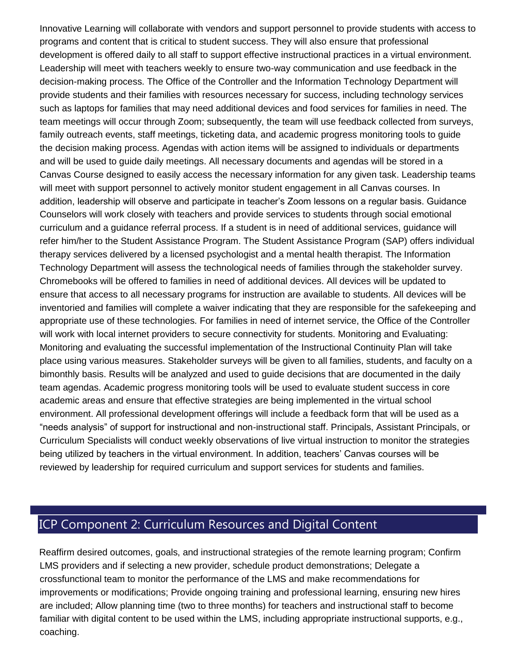Innovative Learning will collaborate with vendors and support personnel to provide students with access to programs and content that is critical to student success. They will also ensure that professional development is offered daily to all staff to support effective instructional practices in a virtual environment. Leadership will meet with teachers weekly to ensure two-way communication and use feedback in the decision-making process. The Office of the Controller and the Information Technology Department will provide students and their families with resources necessary for success, including technology services such as laptops for families that may need additional devices and food services for families in need. The team meetings will occur through Zoom; subsequently, the team will use feedback collected from surveys, family outreach events, staff meetings, ticketing data, and academic progress monitoring tools to guide the decision making process. Agendas with action items will be assigned to individuals or departments and will be used to guide daily meetings. All necessary documents and agendas will be stored in a Canvas Course designed to easily access the necessary information for any given task. Leadership teams will meet with support personnel to actively monitor student engagement in all Canvas courses. In addition, leadership will observe and participate in teacher's Zoom lessons on a regular basis. Guidance Counselors will work closely with teachers and provide services to students through social emotional curriculum and a guidance referral process. If a student is in need of additional services, guidance will refer him/her to the Student Assistance Program. The Student Assistance Program (SAP) offers individual therapy services delivered by a licensed psychologist and a mental health therapist. The Information Technology Department will assess the technological needs of families through the stakeholder survey. Chromebooks will be offered to families in need of additional devices. All devices will be updated to ensure that access to all necessary programs for instruction are available to students. All devices will be inventoried and families will complete a waiver indicating that they are responsible for the safekeeping and appropriate use of these technologies. For families in need of internet service, the Office of the Controller will work with local internet providers to secure connectivity for students. Monitoring and Evaluating: Monitoring and evaluating the successful implementation of the Instructional Continuity Plan will take place using various measures. Stakeholder surveys will be given to all families, students, and faculty on a bimonthly basis. Results will be analyzed and used to guide decisions that are documented in the daily team agendas. Academic progress monitoring tools will be used to evaluate student success in core academic areas and ensure that effective strategies are being implemented in the virtual school environment. All professional development offerings will include a feedback form that will be used as a "needs analysis" of support for instructional and non-instructional staff. Principals, Assistant Principals, or Curriculum Specialists will conduct weekly observations of live virtual instruction to monitor the strategies being utilized by teachers in the virtual environment. In addition, teachers' Canvas courses will be reviewed by leadership for required curriculum and support services for students and families.

# ICP Component 2: Curriculum Resources and Digital Content

Reaffirm desired outcomes, goals, and instructional strategies of the remote learning program; Confirm LMS providers and if selecting a new provider, schedule product demonstrations; Delegate a crossfunctional team to monitor the performance of the LMS and make recommendations for improvements or modifications; Provide ongoing training and professional learning, ensuring new hires are included; Allow planning time (two to three months) for teachers and instructional staff to become familiar with digital content to be used within the LMS, including appropriate instructional supports, e.g., coaching.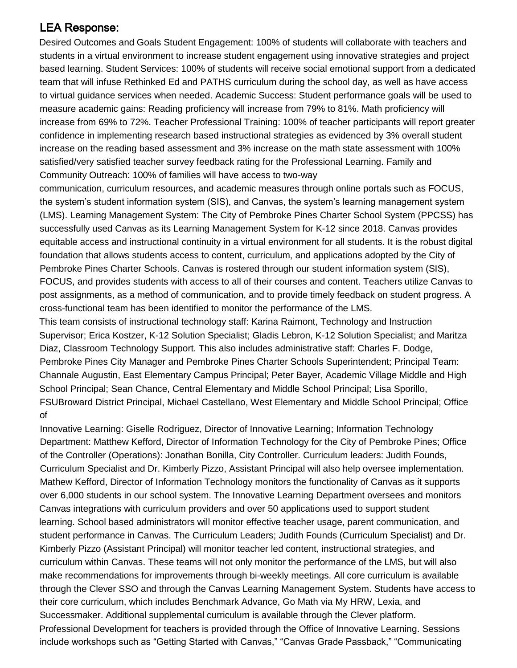# **LEA Response:**

Desired Outcomes and Goals Student Engagement: 100% of students will collaborate with teachers and students in a virtual environment to increase student engagement using innovative strategies and project based learning. Student Services: 100% of students will receive social emotional support from a dedicated team that will infuse Rethinked Ed and PATHS curriculum during the school day, as well as have access to virtual guidance services when needed. Academic Success: Student performance goals will be used to measure academic gains: Reading proficiency will increase from 79% to 81%. Math proficiency will increase from 69% to 72%. Teacher Professional Training: 100% of teacher participants will report greater confidence in implementing research based instructional strategies as evidenced by 3% overall student increase on the reading based assessment and 3% increase on the math state assessment with 100% satisfied/very satisfied teacher survey feedback rating for the Professional Learning. Family and Community Outreach: 100% of families will have access to two-way

communication, curriculum resources, and academic measures through online portals such as FOCUS, the system's student information system (SIS), and Canvas, the system's learning management system (LMS). Learning Management System: The City of Pembroke Pines Charter School System (PPCSS) has successfully used Canvas as its Learning Management System for K-12 since 2018. Canvas provides equitable access and instructional continuity in a virtual environment for all students. It is the robust digital foundation that allows students access to content, curriculum, and applications adopted by the City of Pembroke Pines Charter Schools. Canvas is rostered through our student information system (SIS), FOCUS, and provides students with access to all of their courses and content. Teachers utilize Canvas to post assignments, as a method of communication, and to provide timely feedback on student progress. A cross-functional team has been identified to monitor the performance of the LMS.

This team consists of instructional technology staff: Karina Raimont, Technology and Instruction Supervisor; Erica Kostzer, K-12 Solution Specialist; Gladis Lebron, K-12 Solution Specialist; and Maritza Diaz, Classroom Technology Support. This also includes administrative staff: Charles F. Dodge, Pembroke Pines City Manager and Pembroke Pines Charter Schools Superintendent; Principal Team: Channale Augustin, East Elementary Campus Principal; Peter Bayer, Academic Village Middle and High School Principal; Sean Chance, Central Elementary and Middle School Principal; Lisa Sporillo, FSUBroward District Principal, Michael Castellano, West Elementary and Middle School Principal; Office of

Innovative Learning: Giselle Rodriguez, Director of Innovative Learning; Information Technology Department: Matthew Kefford, Director of Information Technology for the City of Pembroke Pines; Office of the Controller (Operations): Jonathan Bonilla, City Controller. Curriculum leaders: Judith Founds, Curriculum Specialist and Dr. Kimberly Pizzo, Assistant Principal will also help oversee implementation. Mathew Kefford, Director of Information Technology monitors the functionality of Canvas as it supports over 6,000 students in our school system. The Innovative Learning Department oversees and monitors Canvas integrations with curriculum providers and over 50 applications used to support student learning. School based administrators will monitor effective teacher usage, parent communication, and student performance in Canvas. The Curriculum Leaders; Judith Founds (Curriculum Specialist) and Dr. Kimberly Pizzo (Assistant Principal) will monitor teacher led content, instructional strategies, and curriculum within Canvas. These teams will not only monitor the performance of the LMS, but will also make recommendations for improvements through bi-weekly meetings. All core curriculum is available through the Clever SSO and through the Canvas Learning Management System. Students have access to their core curriculum, which includes Benchmark Advance, Go Math via My HRW, Lexia, and Successmaker. Additional supplemental curriculum is available through the Clever platform. Professional Development for teachers is provided through the Office of Innovative Learning. Sessions include workshops such as "Getting Started with Canvas," "Canvas Grade Passback," "Communicating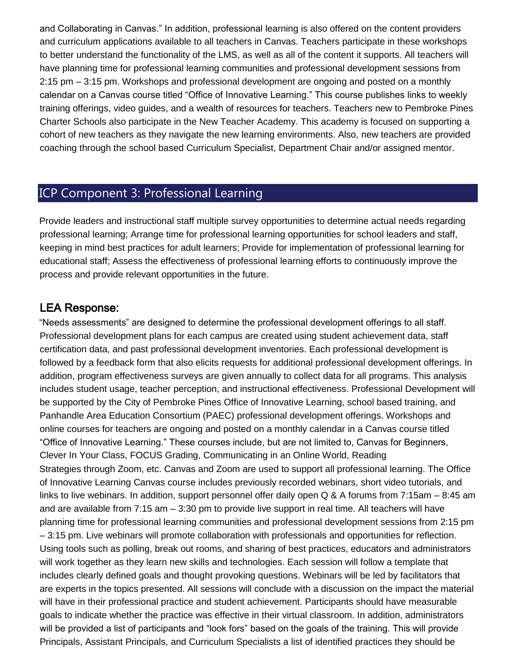and Collaborating in Canvas." In addition, professional learning is also offered on the content providers and curriculum applications available to all teachers in Canvas. Teachers participate in these workshops to better understand the functionality of the LMS, as well as all of the content it supports. All teachers will have planning time for professional learning communities and professional development sessions from 2:15 pm – 3:15 pm. Workshops and professional development are ongoing and posted on a monthly calendar on a Canvas course titled "Office of Innovative Learning." This course publishes links to weekly training offerings, video guides, and a wealth of resources for teachers. Teachers new to Pembroke Pines Charter Schools also participate in the New Teacher Academy. This academy is focused on supporting a cohort of new teachers as they navigate the new learning environments. Also, new teachers are provided coaching through the school based Curriculum Specialist, Department Chair and/or assigned mentor.

# ICP Component 3: Professional Learning

Provide leaders and instructional staff multiple survey opportunities to determine actual needs regarding professional learning; Arrange time for professional learning opportunities for school leaders and staff, keeping in mind best practices for adult learners; Provide for implementation of professional learning for educational staff; Assess the effectiveness of professional learning efforts to continuously improve the process and provide relevant opportunities in the future.

#### **LEA Response:**

"Needs assessments" are designed to determine the professional development offerings to all staff. Professional development plans for each campus are created using student achievement data, staff certification data, and past professional development inventories. Each professional development is followed by a feedback form that also elicits requests for additional professional development offerings. In addition, program effectiveness surveys are given annually to collect data for all programs. This analysis includes student usage, teacher perception, and instructional effectiveness. Professional Development will be supported by the City of Pembroke Pines Office of Innovative Learning, school based training, and Panhandle Area Education Consortium (PAEC) professional development offerings. Workshops and online courses for teachers are ongoing and posted on a monthly calendar in a Canvas course titled "Office of Innovative Learning." These courses include, but are not limited to, Canvas for Beginners, Clever In Your Class, FOCUS Grading, Communicating in an Online World, Reading Strategies through Zoom, etc. Canvas and Zoom are used to support all professional learning. The Office of Innovative Learning Canvas course includes previously recorded webinars, short video tutorials, and links to live webinars. In addition, support personnel offer daily open Q & A forums from 7:15am – 8:45 am and are available from 7:15 am – 3:30 pm to provide live support in real time. All teachers will have planning time for professional learning communities and professional development sessions from 2:15 pm – 3:15 pm. Live webinars will promote collaboration with professionals and opportunities for reflection. Using tools such as polling, break out rooms, and sharing of best practices, educators and administrators will work together as they learn new skills and technologies. Each session will follow a template that includes clearly defined goals and thought provoking questions. Webinars will be led by facilitators that are experts in the topics presented. All sessions will conclude with a discussion on the impact the material will have in their professional practice and student achievement. Participants should have measurable goals to indicate whether the practice was effective in their virtual classroom. In addition, administrators will be provided a list of participants and "look fors" based on the goals of the training. This will provide Principals, Assistant Principals, and Curriculum Specialists a list of identified practices they should be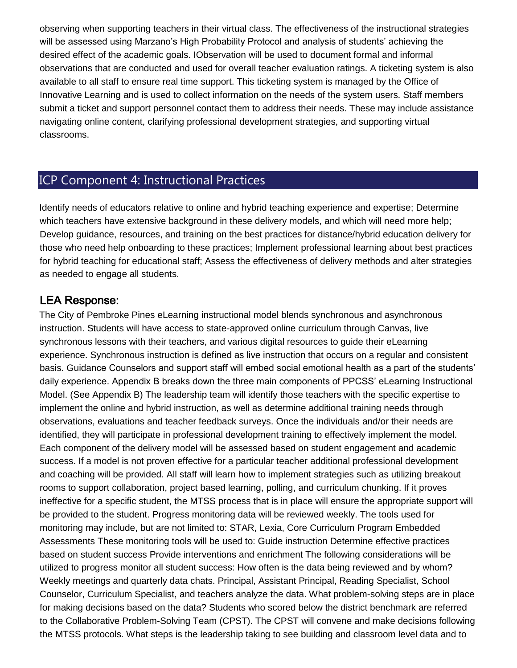observing when supporting teachers in their virtual class. The effectiveness of the instructional strategies will be assessed using Marzano's High Probability Protocol and analysis of students' achieving the desired effect of the academic goals. IObservation will be used to document formal and informal observations that are conducted and used for overall teacher evaluation ratings. A ticketing system is also available to all staff to ensure real time support. This ticketing system is managed by the Office of Innovative Learning and is used to collect information on the needs of the system users. Staff members submit a ticket and support personnel contact them to address their needs. These may include assistance navigating online content, clarifying professional development strategies, and supporting virtual classrooms.

## ICP Component 4: Instructional Practices

Identify needs of educators relative to online and hybrid teaching experience and expertise; Determine which teachers have extensive background in these delivery models, and which will need more help; Develop guidance, resources, and training on the best practices for distance/hybrid education delivery for those who need help onboarding to these practices; Implement professional learning about best practices for hybrid teaching for educational staff; Assess the effectiveness of delivery methods and alter strategies as needed to engage all students.

#### **LEA Response:**

The City of Pembroke Pines eLearning instructional model blends synchronous and asynchronous instruction. Students will have access to state-approved online curriculum through Canvas, live synchronous lessons with their teachers, and various digital resources to guide their eLearning experience. Synchronous instruction is defined as live instruction that occurs on a regular and consistent basis. Guidance Counselors and support staff will embed social emotional health as a part of the students' daily experience. Appendix B breaks down the three main components of PPCSS' eLearning Instructional Model. (See Appendix B) The leadership team will identify those teachers with the specific expertise to implement the online and hybrid instruction, as well as determine additional training needs through observations, evaluations and teacher feedback surveys. Once the individuals and/or their needs are identified, they will participate in professional development training to effectively implement the model. Each component of the delivery model will be assessed based on student engagement and academic success. If a model is not proven effective for a particular teacher additional professional development and coaching will be provided. All staff will learn how to implement strategies such as utilizing breakout rooms to support collaboration, project based learning, polling, and curriculum chunking. If it proves ineffective for a specific student, the MTSS process that is in place will ensure the appropriate support will be provided to the student. Progress monitoring data will be reviewed weekly. The tools used for monitoring may include, but are not limited to: STAR, Lexia, Core Curriculum Program Embedded Assessments These monitoring tools will be used to: Guide instruction Determine effective practices based on student success Provide interventions and enrichment The following considerations will be utilized to progress monitor all student success: How often is the data being reviewed and by whom? Weekly meetings and quarterly data chats. Principal, Assistant Principal, Reading Specialist, School Counselor, Curriculum Specialist, and teachers analyze the data. What problem-solving steps are in place for making decisions based on the data? Students who scored below the district benchmark are referred to the Collaborative Problem-Solving Team (CPST). The CPST will convene and make decisions following the MTSS protocols. What steps is the leadership taking to see building and classroom level data and to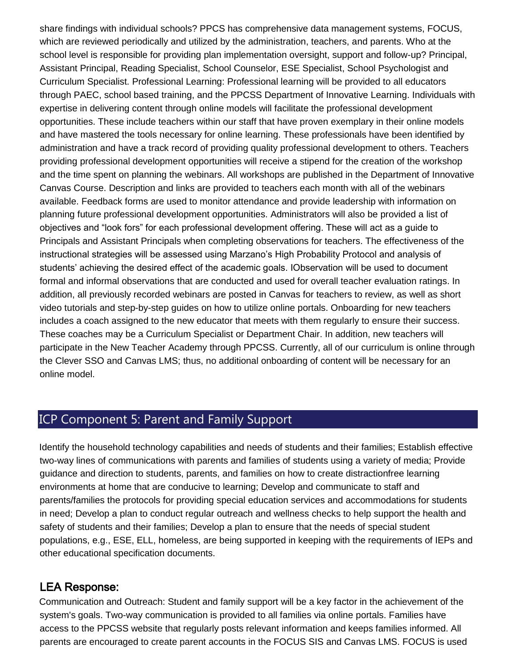share findings with individual schools? PPCS has comprehensive data management systems, FOCUS, which are reviewed periodically and utilized by the administration, teachers, and parents. Who at the school level is responsible for providing plan implementation oversight, support and follow-up? Principal, Assistant Principal, Reading Specialist, School Counselor, ESE Specialist, School Psychologist and Curriculum Specialist. Professional Learning: Professional learning will be provided to all educators through PAEC, school based training, and the PPCSS Department of Innovative Learning. Individuals with expertise in delivering content through online models will facilitate the professional development opportunities. These include teachers within our staff that have proven exemplary in their online models and have mastered the tools necessary for online learning. These professionals have been identified by administration and have a track record of providing quality professional development to others. Teachers providing professional development opportunities will receive a stipend for the creation of the workshop and the time spent on planning the webinars. All workshops are published in the Department of Innovative Canvas Course. Description and links are provided to teachers each month with all of the webinars available. Feedback forms are used to monitor attendance and provide leadership with information on planning future professional development opportunities. Administrators will also be provided a list of objectives and "look fors" for each professional development offering. These will act as a guide to Principals and Assistant Principals when completing observations for teachers. The effectiveness of the instructional strategies will be assessed using Marzano's High Probability Protocol and analysis of students' achieving the desired effect of the academic goals. IObservation will be used to document formal and informal observations that are conducted and used for overall teacher evaluation ratings. In addition, all previously recorded webinars are posted in Canvas for teachers to review, as well as short video tutorials and step-by-step guides on how to utilize online portals. Onboarding for new teachers includes a coach assigned to the new educator that meets with them regularly to ensure their success. These coaches may be a Curriculum Specialist or Department Chair. In addition, new teachers will participate in the New Teacher Academy through PPCSS. Currently, all of our curriculum is online through the Clever SSO and Canvas LMS; thus, no additional onboarding of content will be necessary for an online model.

# ICP Component 5: Parent and Family Support

Identify the household technology capabilities and needs of students and their families; Establish effective two-way lines of communications with parents and families of students using a variety of media; Provide guidance and direction to students, parents, and families on how to create distractionfree learning environments at home that are conducive to learning; Develop and communicate to staff and parents/families the protocols for providing special education services and accommodations for students in need; Develop a plan to conduct regular outreach and wellness checks to help support the health and safety of students and their families; Develop a plan to ensure that the needs of special student populations, e.g., ESE, ELL, homeless, are being supported in keeping with the requirements of IEPs and other educational specification documents.

#### **LEA Response:**

Communication and Outreach: Student and family support will be a key factor in the achievement of the system's goals. Two-way communication is provided to all families via online portals. Families have access to the PPCSS website that regularly posts relevant information and keeps families informed. All parents are encouraged to create parent accounts in the FOCUS SIS and Canvas LMS. FOCUS is used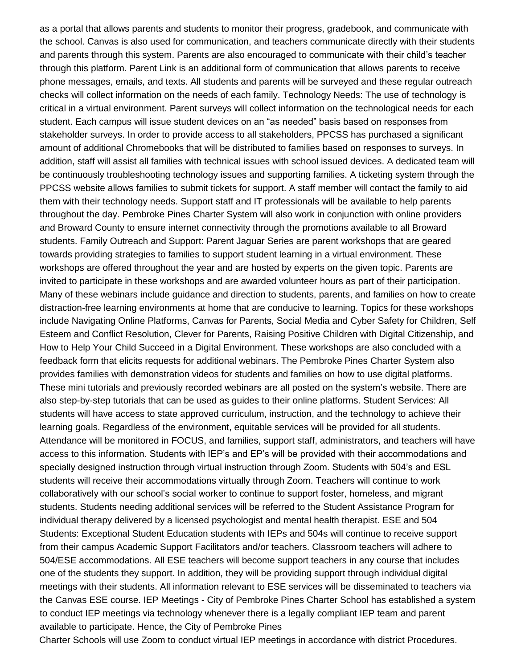as a portal that allows parents and students to monitor their progress, gradebook, and communicate with the school. Canvas is also used for communication, and teachers communicate directly with their students and parents through this system. Parents are also encouraged to communicate with their child's teacher through this platform. Parent Link is an additional form of communication that allows parents to receive phone messages, emails, and texts. All students and parents will be surveyed and these regular outreach checks will collect information on the needs of each family. Technology Needs: The use of technology is critical in a virtual environment. Parent surveys will collect information on the technological needs for each student. Each campus will issue student devices on an "as needed" basis based on responses from stakeholder surveys. In order to provide access to all stakeholders, PPCSS has purchased a significant amount of additional Chromebooks that will be distributed to families based on responses to surveys. In addition, staff will assist all families with technical issues with school issued devices. A dedicated team will be continuously troubleshooting technology issues and supporting families. A ticketing system through the PPCSS website allows families to submit tickets for support. A staff member will contact the family to aid them with their technology needs. Support staff and IT professionals will be available to help parents throughout the day. Pembroke Pines Charter System will also work in conjunction with online providers and Broward County to ensure internet connectivity through the promotions available to all Broward students. Family Outreach and Support: Parent Jaguar Series are parent workshops that are geared towards providing strategies to families to support student learning in a virtual environment. These workshops are offered throughout the year and are hosted by experts on the given topic. Parents are invited to participate in these workshops and are awarded volunteer hours as part of their participation. Many of these webinars include guidance and direction to students, parents, and families on how to create distraction-free learning environments at home that are conducive to learning. Topics for these workshops include Navigating Online Platforms, Canvas for Parents, Social Media and Cyber Safety for Children, Self Esteem and Conflict Resolution, Clever for Parents, Raising Positive Children with Digital Citizenship, and How to Help Your Child Succeed in a Digital Environment. These workshops are also concluded with a feedback form that elicits requests for additional webinars. The Pembroke Pines Charter System also provides families with demonstration videos for students and families on how to use digital platforms. These mini tutorials and previously recorded webinars are all posted on the system's website. There are also step-by-step tutorials that can be used as guides to their online platforms. Student Services: All students will have access to state approved curriculum, instruction, and the technology to achieve their learning goals. Regardless of the environment, equitable services will be provided for all students. Attendance will be monitored in FOCUS, and families, support staff, administrators, and teachers will have access to this information. Students with IEP's and EP's will be provided with their accommodations and specially designed instruction through virtual instruction through Zoom. Students with 504's and ESL students will receive their accommodations virtually through Zoom. Teachers will continue to work collaboratively with our school's social worker to continue to support foster, homeless, and migrant students. Students needing additional services will be referred to the Student Assistance Program for individual therapy delivered by a licensed psychologist and mental health therapist. ESE and 504 Students: Exceptional Student Education students with IEPs and 504s will continue to receive support from their campus Academic Support Facilitators and/or teachers. Classroom teachers will adhere to 504/ESE accommodations. All ESE teachers will become support teachers in any course that includes one of the students they support. In addition, they will be providing support through individual digital meetings with their students. All information relevant to ESE services will be disseminated to teachers via the Canvas ESE course. IEP Meetings - City of Pembroke Pines Charter School has established a system to conduct IEP meetings via technology whenever there is a legally compliant IEP team and parent available to participate. Hence, the City of Pembroke Pines

Charter Schools will use Zoom to conduct virtual IEP meetings in accordance with district Procedures.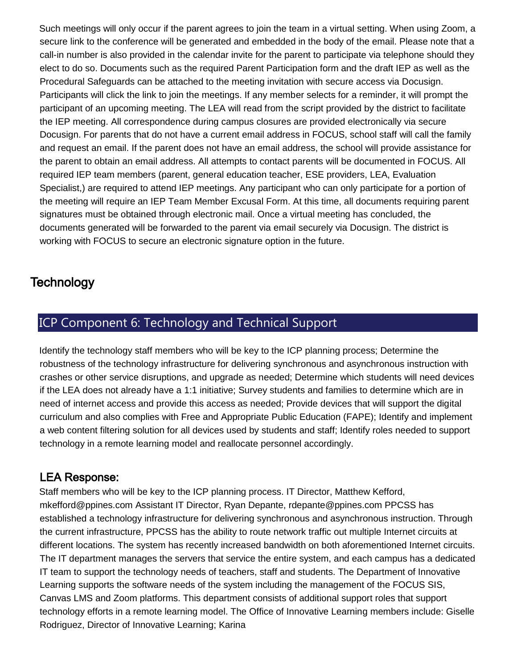Such meetings will only occur if the parent agrees to join the team in a virtual setting. When using Zoom, a secure link to the conference will be generated and embedded in the body of the email. Please note that a call-in number is also provided in the calendar invite for the parent to participate via telephone should they elect to do so. Documents such as the required Parent Participation form and the draft IEP as well as the Procedural Safeguards can be attached to the meeting invitation with secure access via Docusign. Participants will click the link to join the meetings. If any member selects for a reminder, it will prompt the participant of an upcoming meeting. The LEA will read from the script provided by the district to facilitate the IEP meeting. All correspondence during campus closures are provided electronically via secure Docusign. For parents that do not have a current email address in FOCUS, school staff will call the family and request an email. If the parent does not have an email address, the school will provide assistance for the parent to obtain an email address. All attempts to contact parents will be documented in FOCUS. All required IEP team members (parent, general education teacher, ESE providers, LEA, Evaluation Specialist,) are required to attend IEP meetings. Any participant who can only participate for a portion of the meeting will require an IEP Team Member Excusal Form. At this time, all documents requiring parent signatures must be obtained through electronic mail. Once a virtual meeting has concluded, the documents generated will be forwarded to the parent via email securely via Docusign. The district is working with FOCUS to secure an electronic signature option in the future.

# **Technology**

# ICP Component 6: Technology and Technical Support

Identify the technology staff members who will be key to the ICP planning process; Determine the robustness of the technology infrastructure for delivering synchronous and asynchronous instruction with crashes or other service disruptions, and upgrade as needed; Determine which students will need devices if the LEA does not already have a 1:1 initiative; Survey students and families to determine which are in need of internet access and provide this access as needed; Provide devices that will support the digital curriculum and also complies with Free and Appropriate Public Education (FAPE); Identify and implement a web content filtering solution for all devices used by students and staff; Identify roles needed to support technology in a remote learning model and reallocate personnel accordingly.

### **LEA Response:**

Staff members who will be key to the ICP planning process. IT Director, Matthew Kefford, mkefford@ppines.com Assistant IT Director, Ryan Depante, rdepante@ppines.com PPCSS has established a technology infrastructure for delivering synchronous and asynchronous instruction. Through the current infrastructure, PPCSS has the ability to route network traffic out multiple Internet circuits at different locations. The system has recently increased bandwidth on both aforementioned Internet circuits. The IT department manages the servers that service the entire system, and each campus has a dedicated IT team to support the technology needs of teachers, staff and students. The Department of Innovative Learning supports the software needs of the system including the management of the FOCUS SIS, Canvas LMS and Zoom platforms. This department consists of additional support roles that support technology efforts in a remote learning model. The Office of Innovative Learning members include: Giselle Rodriguez, Director of Innovative Learning; Karina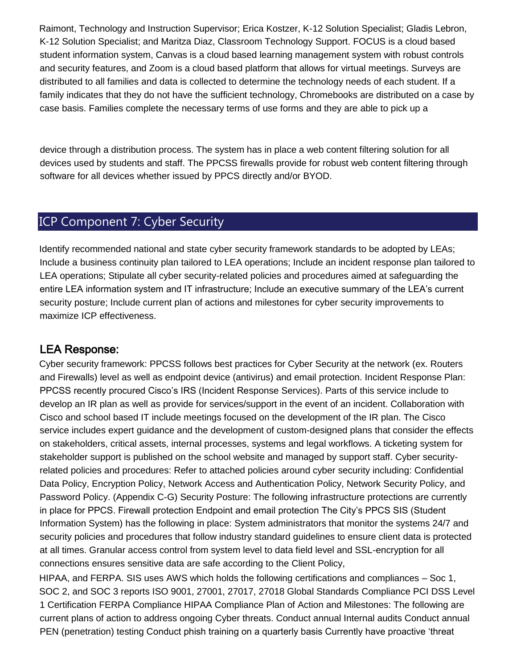Raimont, Technology and Instruction Supervisor; Erica Kostzer, K-12 Solution Specialist; Gladis Lebron, K-12 Solution Specialist; and Maritza Diaz, Classroom Technology Support. FOCUS is a cloud based student information system, Canvas is a cloud based learning management system with robust controls and security features, and Zoom is a cloud based platform that allows for virtual meetings. Surveys are distributed to all families and data is collected to determine the technology needs of each student. If a family indicates that they do not have the sufficient technology, Chromebooks are distributed on a case by case basis. Families complete the necessary terms of use forms and they are able to pick up a

device through a distribution process. The system has in place a web content filtering solution for all devices used by students and staff. The PPCSS firewalls provide for robust web content filtering through software for all devices whether issued by PPCS directly and/or BYOD.

# ICP Component 7: Cyber Security

Identify recommended national and state cyber security framework standards to be adopted by LEAs; Include a business continuity plan tailored to LEA operations; Include an incident response plan tailored to LEA operations; Stipulate all cyber security-related policies and procedures aimed at safeguarding the entire LEA information system and IT infrastructure; Include an executive summary of the LEA's current security posture; Include current plan of actions and milestones for cyber security improvements to maximize ICP effectiveness.

#### **LEA Response:**

Cyber security framework: PPCSS follows best practices for Cyber Security at the network (ex. Routers and Firewalls) level as well as endpoint device (antivirus) and email protection. Incident Response Plan: PPCSS recently procured Cisco's IRS (Incident Response Services). Parts of this service include to develop an IR plan as well as provide for services/support in the event of an incident. Collaboration with Cisco and school based IT include meetings focused on the development of the IR plan. The Cisco service includes expert guidance and the development of custom-designed plans that consider the effects on stakeholders, critical assets, internal processes, systems and legal workflows. A ticketing system for stakeholder support is published on the school website and managed by support staff. Cyber securityrelated policies and procedures: Refer to attached policies around cyber security including: Confidential Data Policy, Encryption Policy, Network Access and Authentication Policy, Network Security Policy, and Password Policy. (Appendix C-G) Security Posture: The following infrastructure protections are currently in place for PPCS. Firewall protection Endpoint and email protection The City's PPCS SIS (Student Information System) has the following in place: System administrators that monitor the systems 24/7 and security policies and procedures that follow industry standard guidelines to ensure client data is protected at all times. Granular access control from system level to data field level and SSL-encryption for all connections ensures sensitive data are safe according to the Client Policy,

HIPAA, and FERPA. SIS uses AWS which holds the following certifications and compliances – Soc 1, SOC 2, and SOC 3 reports ISO 9001, 27001, 27017, 27018 Global Standards Compliance PCI DSS Level 1 Certification FERPA Compliance HIPAA Compliance Plan of Action and Milestones: The following are current plans of action to address ongoing Cyber threats. Conduct annual Internal audits Conduct annual PEN (penetration) testing Conduct phish training on a quarterly basis Currently have proactive 'threat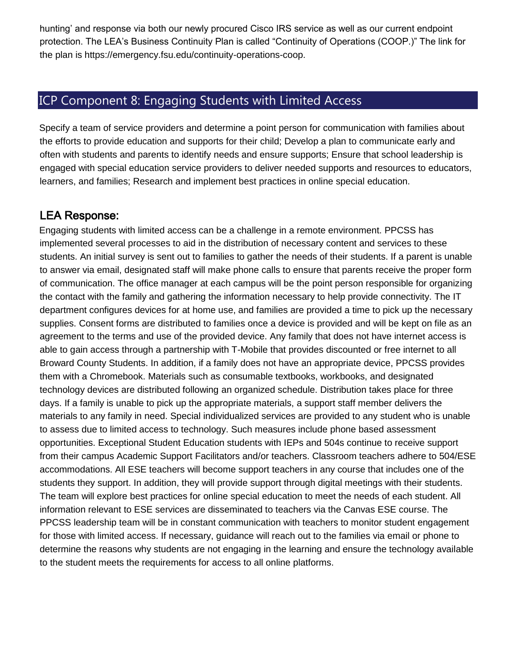hunting' and response via both our newly procured Cisco IRS service as well as our current endpoint protection. The LEA's Business Continuity Plan is called "Continuity of Operations (COOP.)" The link for the plan is https://emergency.fsu.edu/continuity-operations-coop.

# ICP Component 8: Engaging Students with Limited Access

Specify a team of service providers and determine a point person for communication with families about the efforts to provide education and supports for their child; Develop a plan to communicate early and often with students and parents to identify needs and ensure supports; Ensure that school leadership is engaged with special education service providers to deliver needed supports and resources to educators, learners, and families; Research and implement best practices in online special education.

### **LEA Response:**

Engaging students with limited access can be a challenge in a remote environment. PPCSS has implemented several processes to aid in the distribution of necessary content and services to these students. An initial survey is sent out to families to gather the needs of their students. If a parent is unable to answer via email, designated staff will make phone calls to ensure that parents receive the proper form of communication. The office manager at each campus will be the point person responsible for organizing the contact with the family and gathering the information necessary to help provide connectivity. The IT department configures devices for at home use, and families are provided a time to pick up the necessary supplies. Consent forms are distributed to families once a device is provided and will be kept on file as an agreement to the terms and use of the provided device. Any family that does not have internet access is able to gain access through a partnership with T-Mobile that provides discounted or free internet to all Broward County Students. In addition, if a family does not have an appropriate device, PPCSS provides them with a Chromebook. Materials such as consumable textbooks, workbooks, and designated technology devices are distributed following an organized schedule. Distribution takes place for three days. If a family is unable to pick up the appropriate materials, a support staff member delivers the materials to any family in need. Special individualized services are provided to any student who is unable to assess due to limited access to technology. Such measures include phone based assessment opportunities. Exceptional Student Education students with IEPs and 504s continue to receive support from their campus Academic Support Facilitators and/or teachers. Classroom teachers adhere to 504/ESE accommodations. All ESE teachers will become support teachers in any course that includes one of the students they support. In addition, they will provide support through digital meetings with their students. The team will explore best practices for online special education to meet the needs of each student. All information relevant to ESE services are disseminated to teachers via the Canvas ESE course. The PPCSS leadership team will be in constant communication with teachers to monitor student engagement for those with limited access. If necessary, guidance will reach out to the families via email or phone to determine the reasons why students are not engaging in the learning and ensure the technology available to the student meets the requirements for access to all online platforms.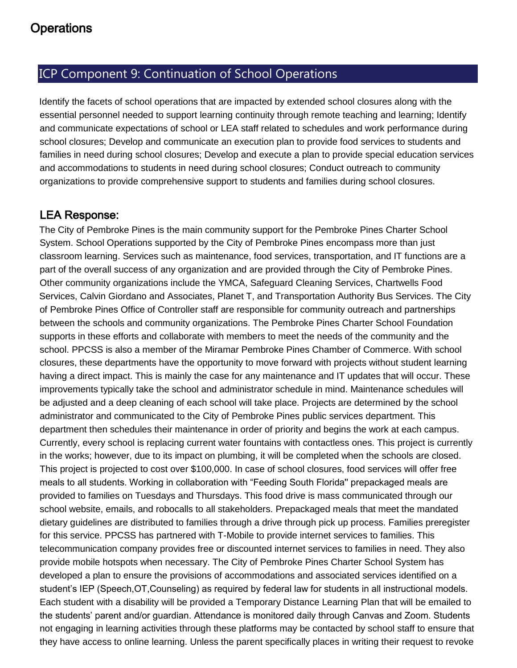### ICP Component 9: Continuation of School Operations

Identify the facets of school operations that are impacted by extended school closures along with the essential personnel needed to support learning continuity through remote teaching and learning; Identify and communicate expectations of school or LEA staff related to schedules and work performance during school closures; Develop and communicate an execution plan to provide food services to students and families in need during school closures; Develop and execute a plan to provide special education services and accommodations to students in need during school closures; Conduct outreach to community organizations to provide comprehensive support to students and families during school closures.

### **LEA Response:**

The City of Pembroke Pines is the main community support for the Pembroke Pines Charter School System. School Operations supported by the City of Pembroke Pines encompass more than just classroom learning. Services such as maintenance, food services, transportation, and IT functions are a part of the overall success of any organization and are provided through the City of Pembroke Pines. Other community organizations include the YMCA, Safeguard Cleaning Services, Chartwells Food Services, Calvin Giordano and Associates, Planet T, and Transportation Authority Bus Services. The City of Pembroke Pines Office of Controller staff are responsible for community outreach and partnerships between the schools and community organizations. The Pembroke Pines Charter School Foundation supports in these efforts and collaborate with members to meet the needs of the community and the school. PPCSS is also a member of the Miramar Pembroke Pines Chamber of Commerce. With school closures, these departments have the opportunity to move forward with projects without student learning having a direct impact. This is mainly the case for any maintenance and IT updates that will occur. These improvements typically take the school and administrator schedule in mind. Maintenance schedules will be adjusted and a deep cleaning of each school will take place. Projects are determined by the school administrator and communicated to the City of Pembroke Pines public services department. This department then schedules their maintenance in order of priority and begins the work at each campus. Currently, every school is replacing current water fountains with contactless ones. This project is currently in the works; however, due to its impact on plumbing, it will be completed when the schools are closed. This project is projected to cost over \$100,000. In case of school closures, food services will offer free meals to all students. Working in collaboration with "Feeding South Florida'' prepackaged meals are provided to families on Tuesdays and Thursdays. This food drive is mass communicated through our school website, emails, and robocalls to all stakeholders. Prepackaged meals that meet the mandated dietary guidelines are distributed to families through a drive through pick up process. Families preregister for this service. PPCSS has partnered with T-Mobile to provide internet services to families. This telecommunication company provides free or discounted internet services to families in need. They also provide mobile hotspots when necessary. The City of Pembroke Pines Charter School System has developed a plan to ensure the provisions of accommodations and associated services identified on a student's IEP (Speech,OT,Counseling) as required by federal law for students in all instructional models. Each student with a disability will be provided a Temporary Distance Learning Plan that will be emailed to the students' parent and/or guardian. Attendance is monitored daily through Canvas and Zoom. Students not engaging in learning activities through these platforms may be contacted by school staff to ensure that they have access to online learning. Unless the parent specifically places in writing their request to revoke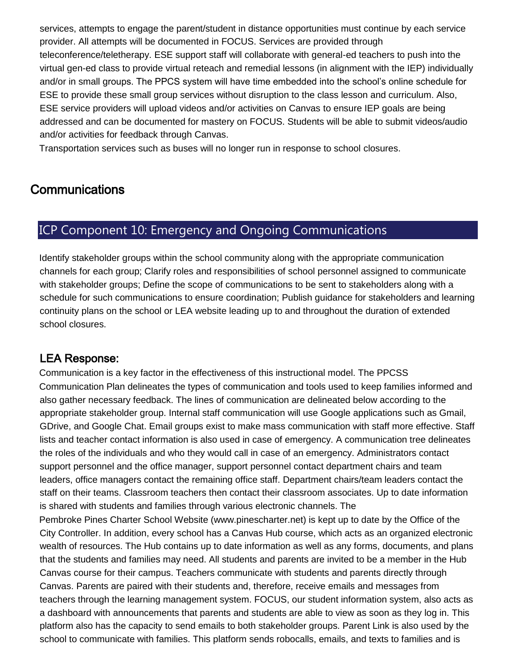services, attempts to engage the parent/student in distance opportunities must continue by each service provider. All attempts will be documented in FOCUS. Services are provided through teleconference/teletherapy. ESE support staff will collaborate with general-ed teachers to push into the virtual gen-ed class to provide virtual reteach and remedial lessons (in alignment with the IEP) individually and/or in small groups. The PPCS system will have time embedded into the school's online schedule for ESE to provide these small group services without disruption to the class lesson and curriculum. Also, ESE service providers will upload videos and/or activities on Canvas to ensure IEP goals are being addressed and can be documented for mastery on FOCUS. Students will be able to submit videos/audio and/or activities for feedback through Canvas.

Transportation services such as buses will no longer run in response to school closures.

# **Communications**

### ICP Component 10: Emergency and Ongoing Communications

Identify stakeholder groups within the school community along with the appropriate communication channels for each group; Clarify roles and responsibilities of school personnel assigned to communicate with stakeholder groups; Define the scope of communications to be sent to stakeholders along with a schedule for such communications to ensure coordination; Publish guidance for stakeholders and learning continuity plans on the school or LEA website leading up to and throughout the duration of extended school closures.

### **LEA Response:**

Communication is a key factor in the effectiveness of this instructional model. The PPCSS Communication Plan delineates the types of communication and tools used to keep families informed and also gather necessary feedback. The lines of communication are delineated below according to the appropriate stakeholder group. Internal staff communication will use Google applications such as Gmail, GDrive, and Google Chat. Email groups exist to make mass communication with staff more effective. Staff lists and teacher contact information is also used in case of emergency. A communication tree delineates the roles of the individuals and who they would call in case of an emergency. Administrators contact support personnel and the office manager, support personnel contact department chairs and team leaders, office managers contact the remaining office staff. Department chairs/team leaders contact the staff on their teams. Classroom teachers then contact their classroom associates. Up to date information is shared with students and families through various electronic channels. The

Pembroke Pines Charter School Website (www.pinescharter.net) is kept up to date by the Office of the City Controller. In addition, every school has a Canvas Hub course, which acts as an organized electronic wealth of resources. The Hub contains up to date information as well as any forms, documents, and plans that the students and families may need. All students and parents are invited to be a member in the Hub Canvas course for their campus. Teachers communicate with students and parents directly through Canvas. Parents are paired with their students and, therefore, receive emails and messages from teachers through the learning management system. FOCUS, our student information system, also acts as a dashboard with announcements that parents and students are able to view as soon as they log in. This platform also has the capacity to send emails to both stakeholder groups. Parent Link is also used by the school to communicate with families. This platform sends robocalls, emails, and texts to families and is